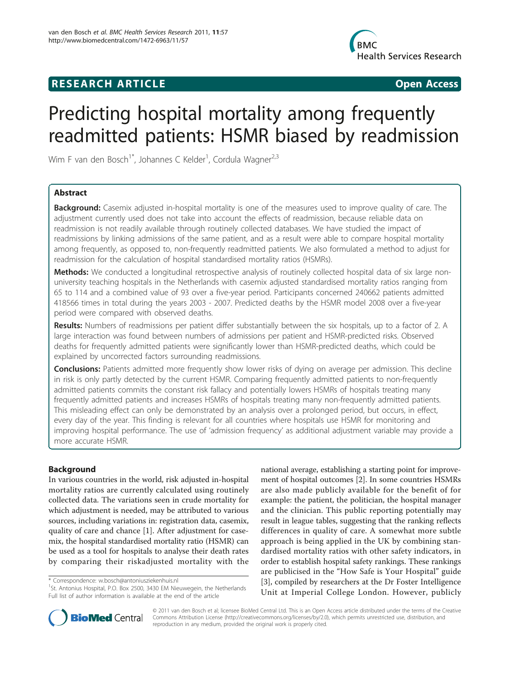## **RESEARCH ARTICLE Example 2018 Open Access**



# Predicting hospital mortality among frequently readmitted patients: HSMR biased by readmission

Wim F van den Bosch<sup>1\*</sup>, Johannes C Kelder<sup>1</sup>, Cordula Wagner<sup>2,3</sup>

#### Abstract

**Background:** Casemix adjusted in-hospital mortality is one of the measures used to improve quality of care. The adjustment currently used does not take into account the effects of readmission, because reliable data on readmission is not readily available through routinely collected databases. We have studied the impact of readmissions by linking admissions of the same patient, and as a result were able to compare hospital mortality among frequently, as opposed to, non-frequently readmitted patients. We also formulated a method to adjust for readmission for the calculation of hospital standardised mortality ratios (HSMRs).

Methods: We conducted a longitudinal retrospective analysis of routinely collected hospital data of six large nonuniversity teaching hospitals in the Netherlands with casemix adjusted standardised mortality ratios ranging from 65 to 114 and a combined value of 93 over a five-year period. Participants concerned 240662 patients admitted 418566 times in total during the years 2003 - 2007. Predicted deaths by the HSMR model 2008 over a five-year period were compared with observed deaths.

Results: Numbers of readmissions per patient differ substantially between the six hospitals, up to a factor of 2. A large interaction was found between numbers of admissions per patient and HSMR-predicted risks. Observed deaths for frequently admitted patients were significantly lower than HSMR-predicted deaths, which could be explained by uncorrected factors surrounding readmissions.

**Conclusions:** Patients admitted more frequently show lower risks of dying on average per admission. This decline in risk is only partly detected by the current HSMR. Comparing frequently admitted patients to non-frequently admitted patients commits the constant risk fallacy and potentially lowers HSMRs of hospitals treating many frequently admitted patients and increases HSMRs of hospitals treating many non-frequently admitted patients. This misleading effect can only be demonstrated by an analysis over a prolonged period, but occurs, in effect, every day of the year. This finding is relevant for all countries where hospitals use HSMR for monitoring and improving hospital performance. The use of 'admission frequency' as additional adjustment variable may provide a more accurate HSMR.

#### Background

In various countries in the world, risk adjusted in-hospital mortality ratios are currently calculated using routinely collected data. The variations seen in crude mortality for which adjustment is needed, may be attributed to various sources, including variations in: registration data, casemix, quality of care and chance [\[1\]](#page-10-0). After adjustment for casemix, the hospital standardised mortality ratio (HSMR) can be used as a tool for hospitals to analyse their death rates by comparing their riskadjusted mortality with the

national average, establishing a starting point for improvement of hospital outcomes [[2\]](#page-10-0). In some countries HSMRs are also made publicly available for the benefit of for example: the patient, the politician, the hospital manager and the clinician. This public reporting potentially may result in league tables, suggesting that the ranking reflects differences in quality of care. A somewhat more subtle approach is being applied in the UK by combining standardised mortality ratios with other safety indicators, in order to establish hospital safety rankings. These rankings are publicised in the "How Safe is Your Hospital" guide [[3\]](#page-10-0), compiled by researchers at the Dr Foster Intelligence Unit at Imperial College London. However, publicly



© 2011 van den Bosch et al; licensee BioMed Central Ltd. This is an Open Access article distributed under the terms of the Creative Commons Attribution License [\(http://creativecommons.org/licenses/by/2.0](http://creativecommons.org/licenses/by/2.0)), which permits unrestricted use, distribution, and reproduction in any medium, provided the original work is properly cited.

<sup>\*</sup> Correspondence: [w.bosch@antoniusziekenhuis.nl](mailto:w.bosch@antoniusziekenhuis.nl)

<sup>&</sup>lt;sup>1</sup>St. Antonius Hospital, P.O. Box 2500, 3430 EM Nieuwegein, the Netherlands Full list of author information is available at the end of the article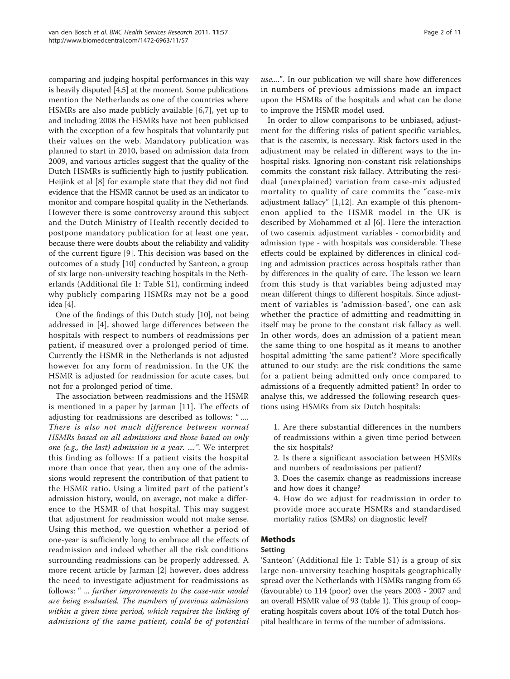comparing and judging hospital performances in this way is heavily disputed [[4,5](#page-10-0)] at the moment. Some publications mention the Netherlands as one of the countries where HSMRs are also made publicly available [[6,7](#page-10-0)], yet up to and including 2008 the HSMRs have not been publicised with the exception of a few hospitals that voluntarily put their values on the web. Mandatory publication was planned to start in 2010, based on admission data from 2009, and various articles suggest that the quality of the Dutch HSMRs is sufficiently high to justify publication. Heijink et al [\[8](#page-10-0)] for example state that they did not find evidence that the HSMR cannot be used as an indicator to monitor and compare hospital quality in the Netherlands. However there is some controversy around this subject and the Dutch Ministry of Health recently decided to postpone mandatory publication for at least one year, because there were doubts about the reliability and validity of the current figure [[9\]](#page-10-0). This decision was based on the outcomes of a study [\[10\]](#page-10-0) conducted by Santeon, a group of six large non-university teaching hospitals in the Netherlands (Additional file 1: Table S1), confirming indeed why publicly comparing HSMRs may not be a good idea [[4](#page-10-0)].

One of the findings of this Dutch study [\[10](#page-10-0)], not being addressed in [[4\]](#page-10-0), showed large differences between the hospitals with respect to numbers of readmissions per patient, if measured over a prolonged period of time. Currently the HSMR in the Netherlands is not adjusted however for any form of readmission. In the UK the HSMR is adjusted for readmission for acute cases, but not for a prolonged period of time.

The association between readmissions and the HSMR is mentioned in a paper by Jarman [[11\]](#page-10-0). The effects of adjusting for readmissions are described as follows: " .... There is also not much difference between normal HSMRs based on all admissions and those based on only one (e.g., the last) admission in a year. ....". We interpret this finding as follows: If a patient visits the hospital more than once that year, then any one of the admissions would represent the contribution of that patient to the HSMR ratio. Using a limited part of the patient's admission history, would, on average, not make a difference to the HSMR of that hospital. This may suggest that adjustment for readmission would not make sense. Using this method, we question whether a period of one-year is sufficiently long to embrace all the effects of readmission and indeed whether all the risk conditions surrounding readmissions can be properly addressed. A more recent article by Jarman [\[2\]](#page-10-0) however, does address the need to investigate adjustment for readmissions as follows: " ... further improvements to the case-mix model are being evaluated. The numbers of previous admissions within a given time period, which requires the linking of admissions of the same patient, could be of potential

use....". In our publication we will share how differences in numbers of previous admissions made an impact upon the HSMRs of the hospitals and what can be done to improve the HSMR model used.

In order to allow comparisons to be unbiased, adjustment for the differing risks of patient specific variables, that is the casemix, is necessary. Risk factors used in the adjustment may be related in different ways to the inhospital risks. Ignoring non-constant risk relationships commits the constant risk fallacy. Attributing the residual (unexplained) variation from case-mix adjusted mortality to quality of care commits the "case-mix adjustment fallacy" [[1,12](#page-10-0)]. An example of this phenomenon applied to the HSMR model in the UK is described by Mohammed et al [\[6](#page-10-0)]. Here the interaction of two casemix adjustment variables - comorbidity and admission type - with hospitals was considerable. These effects could be explained by differences in clinical coding and admission practices across hospitals rather than by differences in the quality of care. The lesson we learn from this study is that variables being adjusted may mean different things to different hospitals. Since adjustment of variables is 'admission-based', one can ask whether the practice of admitting and readmitting in itself may be prone to the constant risk fallacy as well. In other words, does an admission of a patient mean the same thing to one hospital as it means to another hospital admitting 'the same patient'? More specifically attuned to our study: are the risk conditions the same for a patient being admitted only once compared to admissions of a frequently admitted patient? In order to analyse this, we addressed the following research questions using HSMRs from six Dutch hospitals:

- 1. Are there substantial differences in the numbers of readmissions within a given time period between the six hospitals?
- 2. Is there a significant association between HSMRs and numbers of readmissions per patient?
- 3. Does the casemix change as readmissions increase and how does it change?
- 4. How do we adjust for readmission in order to provide more accurate HSMRs and standardised mortality ratios (SMRs) on diagnostic level?

#### Methods

#### Setting

'Santeon' (Additional file 1: Table S1) is a group of six large non-university teaching hospitals geographically spread over the Netherlands with HSMRs ranging from 65 (favourable) to 114 (poor) over the years 2003 - 2007 and an overall HSMR value of 93 (table [1](#page-2-0)). This group of cooperating hospitals covers about 10% of the total Dutch hospital healthcare in terms of the number of admissions.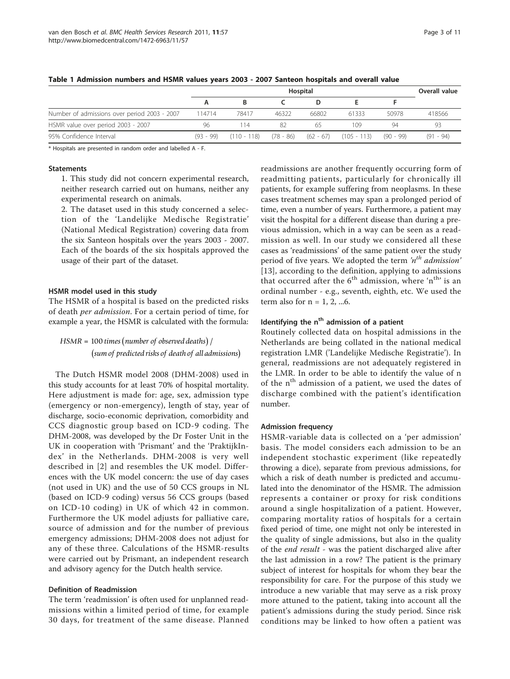|                                              | Hospital |       |       |       |                                                                             |       | Overall value |
|----------------------------------------------|----------|-------|-------|-------|-----------------------------------------------------------------------------|-------|---------------|
|                                              |          |       |       |       |                                                                             |       |               |
| Number of admissions over period 2003 - 2007 | 114714   | 78417 | 46322 | 66802 | 61333                                                                       | 50978 | 418566        |
| HSMR value over period 2003 - 2007           | 96       | 114   | 82    | 65    | 109                                                                         | 94    | -93           |
| 95% Confidence Interval                      |          |       |       |       | $(93 - 99)$ $(110 - 118)$ $(78 - 86)$ $(62 - 67)$ $(105 - 113)$ $(90 - 99)$ |       | $(91 - 94)$   |

#### <span id="page-2-0"></span>Table 1 Admission numbers and HSMR values years 2003 - 2007 Santeon hospitals and overall value

\* Hospitals are presented in random order and labelled A - F.

#### **Statements**

1. This study did not concern experimental research, neither research carried out on humans, neither any experimental research on animals.

2. The dataset used in this study concerned a selection of the 'Landelijke Medische Registratie' (National Medical Registration) covering data from the six Santeon hospitals over the years 2003 - 2007. Each of the boards of the six hospitals approved the usage of their part of the dataset.

#### HSMR model used in this study

The HSMR of a hospital is based on the predicted risks of death per admission. For a certain period of time, for example a year, the HSMR is calculated with the formula:

### $HSMR = 100$  times (number of observed deaths) / - *sum of predicted risks of death of all admissions*

The Dutch HSMR model 2008 (DHM-2008) used in this study accounts for at least 70% of hospital mortality. Here adjustment is made for: age, sex, admission type (emergency or non-emergency), length of stay, year of discharge, socio-economic deprivation, comorbidity and CCS diagnostic group based on ICD-9 coding. The DHM-2008, was developed by the Dr Foster Unit in the UK in cooperation with 'Prismant' and the 'PraktijkIndex' in the Netherlands. DHM-2008 is very well described in [[2\]](#page-10-0) and resembles the UK model. Differences with the UK model concern: the use of day cases (not used in UK) and the use of 50 CCS groups in NL (based on ICD-9 coding) versus 56 CCS groups (based on ICD-10 coding) in UK of which 42 in common. Furthermore the UK model adjusts for palliative care, source of admission and for the number of previous emergency admissions; DHM-2008 does not adjust for any of these three. Calculations of the HSMR-results were carried out by Prismant, an independent research and advisory agency for the Dutch health service.

#### Definition of Readmission

The term 'readmission' is often used for unplanned readmissions within a limited period of time, for example 30 days, for treatment of the same disease. Planned

readmissions are another frequently occurring form of readmitting patients, particularly for chronically ill patients, for example suffering from neoplasms. In these cases treatment schemes may span a prolonged period of time, even a number of years. Furthermore, a patient may visit the hospital for a different disease than during a previous admission, which in a way can be seen as a readmission as well. In our study we considered all these cases as 'readmissions' of the same patient over the study period of five years. We adopted the term  $n<sup>th</sup>$  admission' [[13](#page-10-0)], according to the definition, applying to admissions that occurred after the  $6<sup>th</sup>$  admission, where 'n<sup>th</sup>' is an ordinal number - e.g., seventh, eighth, etc. We used the term also for  $n = 1, 2, \dots 6$ .

#### Identifying the  $n<sup>th</sup>$  admission of a patient

Routinely collected data on hospital admissions in the Netherlands are being collated in the national medical registration LMR ('Landelijke Medische Registratie'). In general, readmissions are not adequately registered in the LMR. In order to be able to identify the value of n of the n<sup>th</sup> admission of a patient, we used the dates of discharge combined with the patient's identification number.

#### Admission frequency

HSMR-variable data is collected on a 'per admission' basis. The model considers each admission to be an independent stochastic experiment (like repeatedly throwing a dice), separate from previous admissions, for which a risk of death number is predicted and accumulated into the denominator of the HSMR. The admission represents a container or proxy for risk conditions around a single hospitalization of a patient. However, comparing mortality ratios of hospitals for a certain fixed period of time, one might not only be interested in the quality of single admissions, but also in the quality of the end result - was the patient discharged alive after the last admission in a row? The patient is the primary subject of interest for hospitals for whom they bear the responsibility for care. For the purpose of this study we introduce a new variable that may serve as a risk proxy more attuned to the patient, taking into account all the patient's admissions during the study period. Since risk conditions may be linked to how often a patient was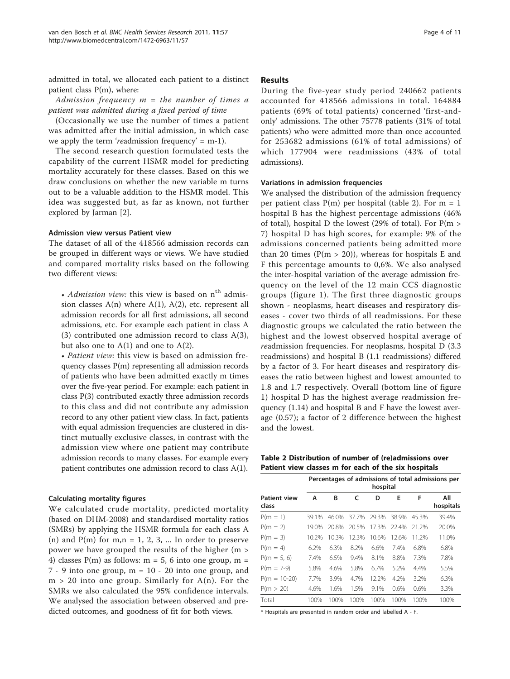admitted in total, we allocated each patient to a distinct patient class P(m), where:

Admission frequency  $m =$  the number of times a patient was admitted during a fixed period of time

(Occasionally we use the number of times a patient was admitted after the initial admission, in which case we apply the term 'readmission frequency' =  $m-1$ ).

The second research question formulated tests the capability of the current HSMR model for predicting mortality accurately for these classes. Based on this we draw conclusions on whether the new variable m turns out to be a valuable addition to the HSMR model. This idea was suggested but, as far as known, not further explored by Jarman [\[2](#page-10-0)].

#### Admission view versus Patient view

The dataset of all of the 418566 admission records can be grouped in different ways or views. We have studied and compared mortality risks based on the following two different views:

• Admission view: this view is based on  $n<sup>th</sup>$  admission classes  $A(n)$  where  $A(1)$ ,  $A(2)$ , etc. represent all admission records for all first admissions, all second admissions, etc. For example each patient in class A (3) contributed one admission record to class A(3), but also one to  $A(1)$  and one to  $A(2)$ .

• Patient view: this view is based on admission frequency classes P(m) representing all admission records of patients who have been admitted exactly m times over the five-year period. For example: each patient in class P(3) contributed exactly three admission records to this class and did not contribute any admission record to any other patient view class. In fact, patients with equal admission frequencies are clustered in distinct mutually exclusive classes, in contrast with the admission view where one patient may contribute admission records to many classes. For example every patient contributes one admission record to class A(1).

#### Calculating mortality figures

We calculated crude mortality, predicted mortality (based on DHM-2008) and standardised mortality ratios (SMRs) by applying the HSMR formula for each class A (n) and  $P(m)$  for m,n = 1, 2, 3, ... In order to preserve power we have grouped the results of the higher (m > 4) classes  $P(m)$  as follows:  $m = 5$ , 6 into one group,  $m =$ 7 - 9 into one group, m = 10 - 20 into one group, and  $m > 20$  into one group. Similarly for  $A(n)$ . For the SMRs we also calculated the 95% confidence intervals. We analysed the association between observed and predicted outcomes, and goodness of fit for both views.

#### Results

During the five-year study period 240662 patients accounted for 418566 admissions in total. 164884 patients (69% of total patients) concerned 'first-andonly' admissions. The other 75778 patients (31% of total patients) who were admitted more than once accounted for 253682 admissions (61% of total admissions) of which 177904 were readmissions (43% of total admissions).

#### Variations in admission frequencies

We analysed the distribution of the admission frequency per patient class  $P(m)$  per hospital (table 2). For  $m = 1$ hospital B has the highest percentage admissions (46% of total), hospital D the lowest (29% of total). For  $P(m >$ 7) hospital D has high scores, for example: 9% of the admissions concerned patients being admitted more than 20 times ( $P(m > 20)$ ), whereas for hospitals E and F this percentage amounts to 0,6%. We also analysed the inter-hospital variation of the average admission frequency on the level of the 12 main CCS diagnostic groups (figure [1](#page-4-0)). The first three diagnostic groups shown - neoplasms, heart diseases and respiratory diseases - cover two thirds of all readmissions. For these diagnostic groups we calculated the ratio between the highest and the lowest observed hospital average of readmission frequencies. For neoplasms, hospital D (3.3 readmissions) and hospital B (1.1 readmissions) differed by a factor of 3. For heart diseases and respiratory diseases the ratio between highest and lowest amounted to 1.8 and 1.7 respectively. Overall (bottom line of figure [1\)](#page-4-0) hospital D has the highest average readmission frequency (1.14) and hospital B and F have the lowest average (0.57); a factor of 2 difference between the highest and the lowest.

Table 2 Distribution of number of (re)admissions over Patient view classes m for each of the six hospitals

|                              |       | Percentages of admissions of total admissions per<br>hospital |       |       |       |       |                  |  |  |  |  |
|------------------------------|-------|---------------------------------------------------------------|-------|-------|-------|-------|------------------|--|--|--|--|
| <b>Patient view</b><br>class | А     | B                                                             | c     | D     | F     | F     | All<br>hospitals |  |  |  |  |
| $P(m = 1)$                   | 39.1% | 46.0%                                                         | 37.7% | 29.3% | 38.9% | 45.3% | 39.4%            |  |  |  |  |
| $P(m = 2)$                   | 19.0% | 20.8%                                                         | 20.5% | 17.3% | 22.4% | 21.2% | 20.0%            |  |  |  |  |
| $P(m = 3)$                   | 10.2% | 10.3%                                                         | 12.3% | 10.6% | 12.6% | 11.2% | 11.0%            |  |  |  |  |
| $P(m = 4)$                   | 6.2%  | 6.3%                                                          | 8.2%  | 6.6%  | 7.4%  | 6.8%  | 6.8%             |  |  |  |  |
| $P(m = 5, 6)$                | 7.4%  | 6.5%                                                          | 9.4%  | 8.1%  | 8.8%  | 7.3%  | 7.8%             |  |  |  |  |
| $P(m = 7-9)$                 | 5.8%  | 4.6%                                                          | 5.8%  | 6.7%  | 5.2%  | 4.4%  | 5.5%             |  |  |  |  |
| $P(m = 10-20)$               | 7.7%  | 3.9%                                                          | 4.7%  | 12.2% | 4.2%  | 3.2%  | 6.3%             |  |  |  |  |
| P(m > 20)                    | 4.6%  | 1.6%                                                          | 1.5%  | 9.1%  | 0.6%  | 0.6%  | 3.3%             |  |  |  |  |
| Total                        | 100%  | 100%                                                          | 100%  | 100%  | 100%  | 100%  | 100%             |  |  |  |  |

\* Hospitals are presented in random order and labelled A - F.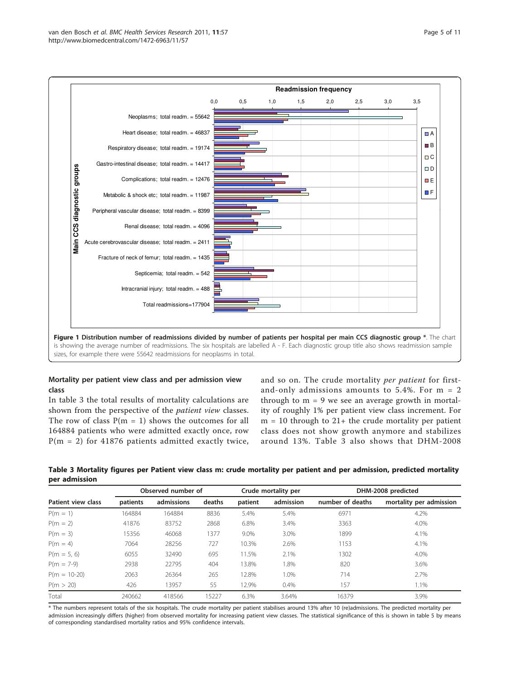<span id="page-4-0"></span>

#### Mortality per patient view class and per admission view class

In table 3 the total results of mortality calculations are shown from the perspective of the patient view classes. The row of class  $P(m = 1)$  shows the outcomes for all 164884 patients who were admitted exactly once, row  $P(m = 2)$  for 41876 patients admitted exactly twice,

and so on. The crude mortality per patient for firstand-only admissions amounts to 5.4%. For m = 2 through to  $m = 9$  we see an average growth in mortality of roughly 1% per patient view class increment. For  $m = 10$  through to  $21+$  the crude mortality per patient class does not show growth anymore and stabilizes around 13%. Table 3 also shows that DHM-2008

Table 3 Mortality figures per Patient view class m: crude mortality per patient and per admission, predicted mortality per admission

| Patient view class | Observed number of |            |        |         | Crude mortality per | DHM-2008 predicted |                         |  |  |
|--------------------|--------------------|------------|--------|---------|---------------------|--------------------|-------------------------|--|--|
|                    | patients           | admissions | deaths | patient | admission           | number of deaths   | mortality per admission |  |  |
| $P(m = 1)$         | 164884             | 164884     | 8836   | 5.4%    | 5.4%                | 6971               | 4.2%                    |  |  |
| $P(m = 2)$         | 41876              | 83752      | 2868   | 6.8%    | 3.4%                | 3363               | 4.0%                    |  |  |
| $P(m = 3)$         | 15356              | 46068      | 1377   | 9.0%    | 3.0%                | 1899               | 4.1%                    |  |  |
| $P(m = 4)$         | 7064               | 28256      | 727    | 10.3%   | 2.6%                | 1153               | 4.1%                    |  |  |
| $P(m = 5, 6)$      | 6055               | 32490      | 695    | 11.5%   | 2.1%                | 1302               | 4.0%                    |  |  |
| $P(m = 7-9)$       | 2938               | 22795      | 404    | 13.8%   | 1.8%                | 820                | 3.6%                    |  |  |
| $P(m = 10-20)$     | 2063               | 26364      | 265    | 12.8%   | 1.0%                | 714                | 2.7%                    |  |  |
| P(m > 20)          | 426                | 13957      | 55     | 12.9%   | 0.4%                | 157                | 1.1%                    |  |  |
| Total              | 240662             | 418566     | 15227  | 6.3%    | 3.64%               | 16379              | 3.9%                    |  |  |

\* The numbers represent totals of the six hospitals. The crude mortality per patient stabilises around 13% after 10 (re)admissions. The predicted mortality per admission increasingly differs (higher) from observed mortality for increasing patient view classes. The statistical significance of this is shown in table 5 by means of corresponding standardised mortality ratios and 95% confidence intervals.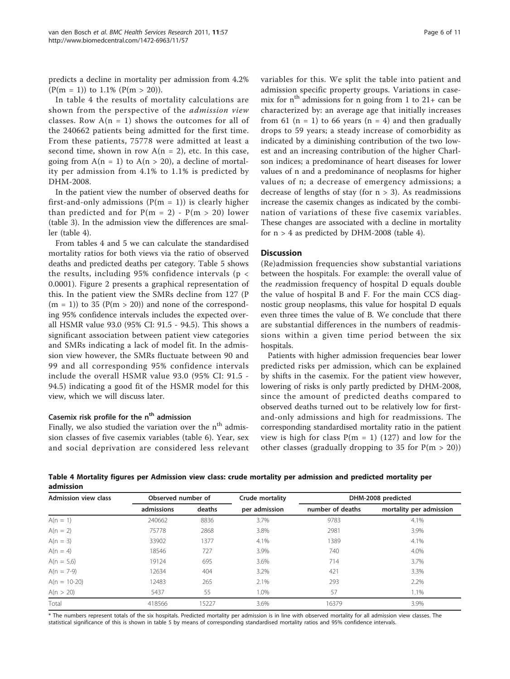predicts a decline in mortality per admission from 4.2%  $(P(m = 1))$  to 1.1%  $(P(m > 20))$ .

In table 4 the results of mortality calculations are shown from the perspective of the admission view classes. Row  $A(n = 1)$  shows the outcomes for all of the 240662 patients being admitted for the first time. From these patients, 75778 were admitted at least a second time, shown in row  $A(n = 2)$ , etc. In this case, going from  $A(n = 1)$  to  $A(n > 20)$ , a decline of mortality per admission from 4.1% to 1.1% is predicted by DHM-2008.

In the patient view the number of observed deaths for first-and-only admissions ( $P(m = 1)$ ) is clearly higher than predicted and for  $P(m = 2) - P(m > 20)$  lower (table [3](#page-4-0)). In the admission view the differences are smaller (table 4).

From tables 4 and [5](#page-6-0) we can calculate the standardised mortality ratios for both views via the ratio of observed deaths and predicted deaths per category. Table [5](#page-6-0) shows the results, including 95% confidence intervals ( $p <$ 0.0001). Figure [2](#page-6-0) presents a graphical representation of this. In the patient view the SMRs decline from 127 (P  $(m = 1)$ ) to 35 (P(m > 20)) and none of the corresponding 95% confidence intervals includes the expected overall HSMR value 93.0 (95% CI: 91.5 - 94.5). This shows a significant association between patient view categories and SMRs indicating a lack of model fit. In the admission view however, the SMRs fluctuate between 90 and 99 and all corresponding 95% confidence intervals include the overall HSMR value 93.0 (95% CI: 91.5 - 94.5) indicating a good fit of the HSMR model for this view, which we will discuss later.

#### Casemix risk profile for the  $n<sup>th</sup>$  admission

Finally, we also studied the variation over the  $n<sup>th</sup>$  admission classes of five casemix variables (table [6](#page-7-0)). Year, sex and social deprivation are considered less relevant variables for this. We split the table into patient and admission specific property groups. Variations in casemix for  $n^{th}$  admissions for n going from 1 to 21+ can be characterized by: an average age that initially increases from 61 ( $n = 1$ ) to 66 years ( $n = 4$ ) and then gradually drops to 59 years; a steady increase of comorbidity as indicated by a diminishing contribution of the two lowest and an increasing contribution of the higher Charlson indices; a predominance of heart diseases for lower values of n and a predominance of neoplasms for higher values of n; a decrease of emergency admissions; a decrease of lengths of stay (for  $n > 3$ ). As readmissions increase the casemix changes as indicated by the combination of variations of these five casemix variables. These changes are associated with a decline in mortality for  $n > 4$  as predicted by DHM-2008 (table 4).

#### **Discussion**

(Re)admission frequencies show substantial variations between the hospitals. For example: the overall value of the readmission frequency of hospital D equals double the value of hospital B and F. For the main CCS diagnostic group neoplasms, this value for hospital D equals even three times the value of B. We conclude that there are substantial differences in the numbers of readmissions within a given time period between the six hospitals.

Patients with higher admission frequencies bear lower predicted risks per admission, which can be explained by shifts in the casemix. For the patient view however, lowering of risks is only partly predicted by DHM-2008, since the amount of predicted deaths compared to observed deaths turned out to be relatively low for firstand-only admissions and high for readmissions. The corresponding standardised mortality ratio in the patient view is high for class  $P(m = 1)$  (127) and low for the other classes (gradually dropping to 35 for  $P(m > 20)$ )

Table 4 Mortality figures per Admission view class: crude mortality per admission and predicted mortality per admission

| <b>Admission view class</b> | Observed number of |        | Crude mortality | DHM-2008 predicted |                         |  |  |
|-----------------------------|--------------------|--------|-----------------|--------------------|-------------------------|--|--|
|                             | admissions         | deaths | per admission   | number of deaths   | mortality per admission |  |  |
| $A(n = 1)$                  | 240662             | 8836   | 3.7%            | 9783               | 4.1%                    |  |  |
| $A(n = 2)$                  | 75778              | 2868   | 3.8%            | 2981               | 3.9%                    |  |  |
| $A(n = 3)$                  | 33902              | 1377   | 4.1%            | 1389               | 4.1%                    |  |  |
| $A(n = 4)$                  | 18546              | 727    | 3.9%            | 740                | 4.0%                    |  |  |
| $A(n = 5,6)$                | 19124              | 695    | 3.6%            | 714                | 3.7%                    |  |  |
| $A(n = 7-9)$                | 12634              | 404    | 3.2%            | 421                | 3.3%                    |  |  |
| $A(n = 10-20)$              | 12483              | 265    | 2.1%            | 293                | 2.2%                    |  |  |
| A(n > 20)                   | 5437               | 55     | 1.0%            | 57                 | 1.1%                    |  |  |
| Total                       | 418566             | 15227  | 3.6%            | 16379              | 3.9%                    |  |  |

\* The numbers represent totals of the six hospitals. Predicted mortality per admission is in line with observed mortality for all admission view classes. The statistical significance of this is shown in table 5 by means of corresponding standardised mortality ratios and 95% confidence intervals.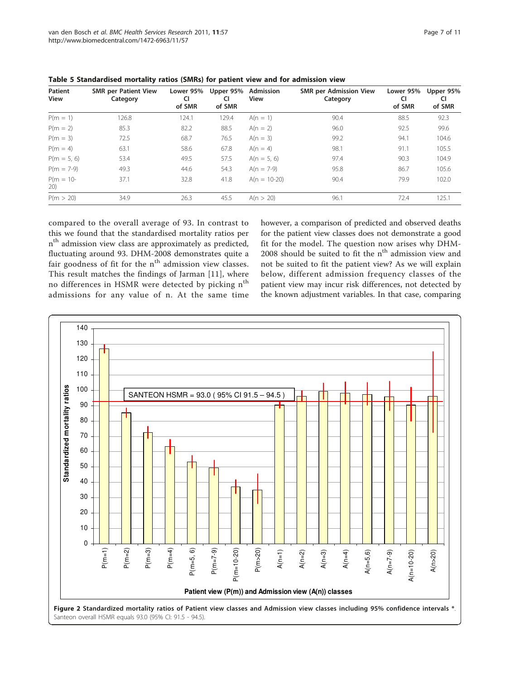| Patient<br><b>View</b> | <b>SMR per Patient View</b><br>Category | Lower 95%<br>CI<br>of SMR | Upper 95%<br><b>CI</b><br>of SMR | Admission<br><b>View</b> | <b>SMR per Admission View</b><br>Category | Lower 95%<br>CI<br>of SMR | Upper 95%<br>CI<br>of SMR |
|------------------------|-----------------------------------------|---------------------------|----------------------------------|--------------------------|-------------------------------------------|---------------------------|---------------------------|
| $P(m = 1)$             | 126.8                                   | 124.1                     | 129.4                            | $A(n = 1)$               | 90.4                                      | 88.5                      | 92.3                      |
| $P(m = 2)$             | 85.3                                    | 82.2                      | 88.5                             | $A(n = 2)$               | 96.0                                      | 92.5                      | 99.6                      |
| $P(m = 3)$             | 72.5                                    | 68.7                      | 76.5                             | $A(n = 3)$               | 99.2                                      | 94.1                      | 104.6                     |
| $P(m = 4)$             | 63.1                                    | 58.6                      | 67.8                             | $A(n = 4)$               | 98.1                                      | 91.1                      | 105.5                     |
| $P(m = 5, 6)$          | 53.4                                    | 49.5                      | 57.5                             | $A(n = 5, 6)$            | 97.4                                      | 90.3                      | 104.9                     |
| $P(m = 7-9)$           | 49.3                                    | 44.6                      | 54.3                             | $A(n = 7-9)$             | 95.8                                      | 86.7                      | 105.6                     |
| $P(m = 10 -$<br>20)    | 37.1                                    | 32.8                      | 41.8                             | $A(n = 10-20)$           | 90.4                                      | 79.9                      | 102.0                     |
| P(m > 20)              | 34.9                                    | 26.3                      | 45.5                             | A(n > 20)                | 96.1                                      | 72.4                      | 125.1                     |

<span id="page-6-0"></span>Table 5 Standardised mortality ratios (SMRs) for patient view and for admission view

compared to the overall average of 93. In contrast to this we found that the standardised mortality ratios per n<sup>th</sup> admission view class are approximately as predicted, fluctuating around 93. DHM-2008 demonstrates quite a fair goodness of fit for the  $n<sup>th</sup>$  admission view classes. This result matches the findings of Jarman [\[11](#page-10-0)], where no differences in HSMR were detected by picking  $n<sup>th</sup>$ admissions for any value of n. At the same time however, a comparison of predicted and observed deaths for the patient view classes does not demonstrate a good fit for the model. The question now arises why DHM- $2008$  should be suited to fit the  $n<sup>th</sup>$  admission view and not be suited to fit the patient view? As we will explain below, different admission frequency classes of the patient view may incur risk differences, not detected by the known adjustment variables. In that case, comparing

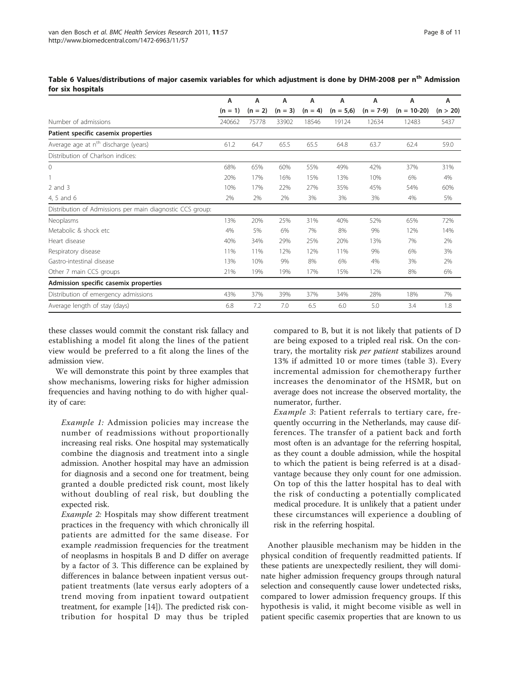|                                                           | A           | A         | А         | А         | А           | А           | A             | А        |
|-----------------------------------------------------------|-------------|-----------|-----------|-----------|-------------|-------------|---------------|----------|
|                                                           | $= 1$<br>(n | $(n = 2)$ | $(n = 3)$ | $(n = 4)$ | $(n = 5,6)$ | $(n = 7-9)$ | $(n = 10-20)$ | (n > 20) |
| Number of admissions                                      | 240662      | 75778     | 33902     | 18546     | 19124       | 12634       | 12483         | 5437     |
| Patient specific casemix properties                       |             |           |           |           |             |             |               |          |
| Average age at n <sup>th</sup> discharge (years)          | 61.2        | 64.7      | 65.5      | 65.5      | 64.8        | 63.7        | 62.4          | 59.0     |
| Distribution of Charlson indices:                         |             |           |           |           |             |             |               |          |
| $\Omega$                                                  | 68%         | 65%       | 60%       | 55%       | 49%         | 42%         | 37%           | 31%      |
|                                                           | 20%         | 17%       | 16%       | 15%       | 13%         | 10%         | 6%            | 4%       |
| $2$ and $3$                                               | 10%         | 17%       | 22%       | 27%       | 35%         | 45%         | 54%           | 60%      |
| 4, 5 and 6                                                | 2%          | 2%        | 2%        | 3%        | 3%          | 3%          | 4%            | 5%       |
| Distribution of Admissions per main diagnostic CCS group: |             |           |           |           |             |             |               |          |
| Neoplasms                                                 | 13%         | 20%       | 25%       | 31%       | 40%         | 52%         | 65%           | 72%      |
| Metabolic & shock etc.                                    | 4%          | 5%        | 6%        | 7%        | 8%          | 9%          | 12%           | 14%      |
| Heart disease                                             | 40%         | 34%       | 29%       | 25%       | 20%         | 13%         | 7%            | 2%       |
| Respiratory disease                                       | 11%         | 11%       | 12%       | 12%       | 11%         | 9%          | 6%            | 3%       |
| Gastro-intestinal disease                                 | 13%         | 10%       | 9%        | 8%        | 6%          | 4%          | 3%            | 2%       |
| Other 7 main CCS groups                                   | 21%         | 19%       | 19%       | 17%       | 15%         | 12%         | 8%            | 6%       |
| Admission specific casemix properties                     |             |           |           |           |             |             |               |          |
| Distribution of emergency admissions                      | 43%         | 37%       | 39%       | 37%       | 34%         | 28%         | 18%           | 7%       |
| Average length of stay (days)                             | 6.8         | 7.2       | 7.0       | 6.5       | 6.0         | 5.0         | 3.4           | 1.8      |

<span id="page-7-0"></span>Table 6 Values/distributions of major casemix variables for which adjustment is done by DHM-2008 per n<sup>th</sup> Admission for six hospitals

these classes would commit the constant risk fallacy and establishing a model fit along the lines of the patient view would be preferred to a fit along the lines of the admission view.

We will demonstrate this point by three examples that show mechanisms, lowering risks for higher admission frequencies and having nothing to do with higher quality of care:

Example 1: Admission policies may increase the number of readmissions without proportionally increasing real risks. One hospital may systematically combine the diagnosis and treatment into a single admission. Another hospital may have an admission for diagnosis and a second one for treatment, being granted a double predicted risk count, most likely without doubling of real risk, but doubling the expected risk.

Example 2: Hospitals may show different treatment practices in the frequency with which chronically ill patients are admitted for the same disease. For example readmission frequencies for the treatment of neoplasms in hospitals B and D differ on average by a factor of 3. This difference can be explained by differences in balance between inpatient versus outpatient treatments (late versus early adopters of a trend moving from inpatient toward outpatient treatment, for example [[14\]](#page-10-0)). The predicted risk contribution for hospital D may thus be tripled

compared to B, but it is not likely that patients of D are being exposed to a tripled real risk. On the contrary, the mortality risk per patient stabilizes around 13% if admitted 10 or more times (table [3\)](#page-4-0). Every incremental admission for chemotherapy further increases the denominator of the HSMR, but on average does not increase the observed mortality, the numerator, further.

Example 3: Patient referrals to tertiary care, frequently occurring in the Netherlands, may cause differences. The transfer of a patient back and forth most often is an advantage for the referring hospital, as they count a double admission, while the hospital to which the patient is being referred is at a disadvantage because they only count for one admission. On top of this the latter hospital has to deal with the risk of conducting a potentially complicated medical procedure. It is unlikely that a patient under these circumstances will experience a doubling of risk in the referring hospital.

Another plausible mechanism may be hidden in the physical condition of frequently readmitted patients. If these patients are unexpectedly resilient, they will dominate higher admission frequency groups through natural selection and consequently cause lower undetected risks, compared to lower admission frequency groups. If this hypothesis is valid, it might become visible as well in patient specific casemix properties that are known to us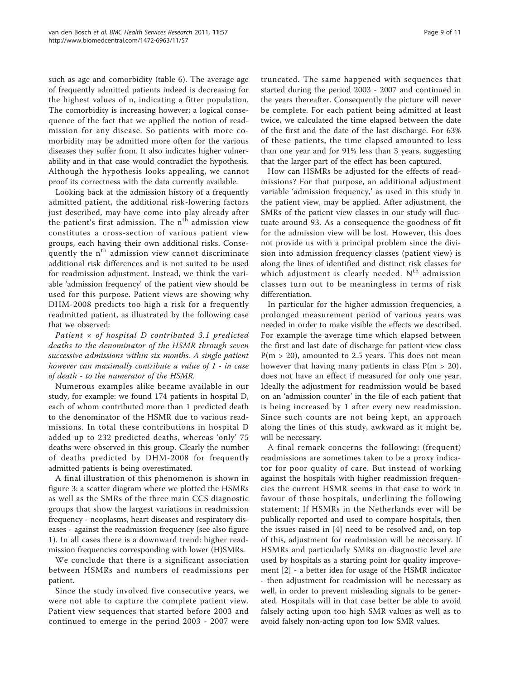such as age and comorbidity (table [6](#page-7-0)). The average age of frequently admitted patients indeed is decreasing for the highest values of n, indicating a fitter population. The comorbidity is increasing however; a logical consequence of the fact that we applied the notion of readmission for any disease. So patients with more comorbidity may be admitted more often for the various diseases they suffer from. It also indicates higher vulnerability and in that case would contradict the hypothesis. Although the hypothesis looks appealing, we cannot proof its correctness with the data currently available.

Looking back at the admission history of a frequently admitted patient, the additional risk-lowering factors just described, may have come into play already after the patient's first admission. The  $n<sup>th</sup>$  admission view constitutes a cross-section of various patient view groups, each having their own additional risks. Consequently the n<sup>th</sup> admission view cannot discriminate additional risk differences and is not suited to be used for readmission adjustment. Instead, we think the variable 'admission frequency' of the patient view should be used for this purpose. Patient views are showing why DHM-2008 predicts too high a risk for a frequently readmitted patient, as illustrated by the following case that we observed:

Patient  $\times$  of hospital D contributed 3.1 predicted deaths to the denominator of the HSMR through seven successive admissions within six months. A single patient however can maximally contribute a value of 1 - in case of death - to the numerator of the HSMR.

Numerous examples alike became available in our study, for example: we found 174 patients in hospital D, each of whom contributed more than 1 predicted death to the denominator of the HSMR due to various readmissions. In total these contributions in hospital D added up to 232 predicted deaths, whereas 'only' 75 deaths were observed in this group. Clearly the number of deaths predicted by DHM-2008 for frequently admitted patients is being overestimated.

A final illustration of this phenomenon is shown in figure [3:](#page-9-0) a scatter diagram where we plotted the HSMRs as well as the SMRs of the three main CCS diagnostic groups that show the largest variations in readmission frequency - neoplasms, heart diseases and respiratory diseases - against the readmission frequency (see also figure [1\)](#page-4-0). In all cases there is a downward trend: higher readmission frequencies corresponding with lower (H)SMRs.

We conclude that there is a significant association between HSMRs and numbers of readmissions per patient.

Since the study involved five consecutive years, we were not able to capture the complete patient view. Patient view sequences that started before 2003 and continued to emerge in the period 2003 - 2007 were truncated. The same happened with sequences that started during the period 2003 - 2007 and continued in the years thereafter. Consequently the picture will never be complete. For each patient being admitted at least twice, we calculated the time elapsed between the date of the first and the date of the last discharge. For 63% of these patients, the time elapsed amounted to less than one year and for 91% less than 3 years, suggesting that the larger part of the effect has been captured.

How can HSMRs be adjusted for the effects of readmissions? For that purpose, an additional adjustment variable 'admission frequency,' as used in this study in the patient view, may be applied. After adjustment, the SMRs of the patient view classes in our study will fluctuate around 93. As a consequence the goodness of fit for the admission view will be lost. However, this does not provide us with a principal problem since the division into admission frequency classes (patient view) is along the lines of identified and distinct risk classes for which adjustment is clearly needed.  $N<sup>th</sup>$  admission classes turn out to be meaningless in terms of risk differentiation.

In particular for the higher admission frequencies, a prolonged measurement period of various years was needed in order to make visible the effects we described. For example the average time which elapsed between the first and last date of discharge for patient view class  $P(m > 20)$ , amounted to 2.5 years. This does not mean however that having many patients in class  $P(m > 20)$ , does not have an effect if measured for only one year. Ideally the adjustment for readmission would be based on an 'admission counter' in the file of each patient that is being increased by 1 after every new readmission. Since such counts are not being kept, an approach along the lines of this study, awkward as it might be, will be necessary.

A final remark concerns the following: (frequent) readmissions are sometimes taken to be a proxy indicator for poor quality of care. But instead of working against the hospitals with higher readmission frequencies the current HSMR seems in that case to work in favour of those hospitals, underlining the following statement: If HSMRs in the Netherlands ever will be publically reported and used to compare hospitals, then the issues raised in [[4\]](#page-10-0) need to be resolved and, on top of this, adjustment for readmission will be necessary. If HSMRs and particularly SMRs on diagnostic level are used by hospitals as a starting point for quality improvement [\[2\]](#page-10-0) - a better idea for usage of the HSMR indicator - then adjustment for readmission will be necessary as well, in order to prevent misleading signals to be generated. Hospitals will in that case better be able to avoid falsely acting upon too high SMR values as well as to avoid falsely non-acting upon too low SMR values.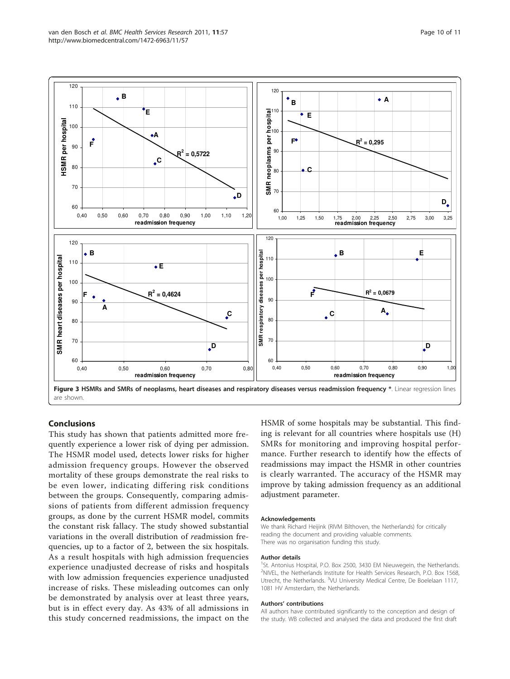

<span id="page-9-0"></span>

#### Conclusions

This study has shown that patients admitted more frequently experience a lower risk of dying per admission. The HSMR model used, detects lower risks for higher admission frequency groups. However the observed mortality of these groups demonstrate the real risks to be even lower, indicating differing risk conditions between the groups. Consequently, comparing admissions of patients from different admission frequency groups, as done by the current HSMR model, commits the constant risk fallacy. The study showed substantial variations in the overall distribution of readmission frequencies, up to a factor of 2, between the six hospitals. As a result hospitals with high admission frequencies experience unadjusted decrease of risks and hospitals with low admission frequencies experience unadjusted increase of risks. These misleading outcomes can only be demonstrated by analysis over at least three years, but is in effect every day. As 43% of all admissions in this study concerned readmissions, the impact on the HSMR of some hospitals may be substantial. This finding is relevant for all countries where hospitals use (H) SMRs for monitoring and improving hospital performance. Further research to identify how the effects of readmissions may impact the HSMR in other countries is clearly warranted. The accuracy of the HSMR may improve by taking admission frequency as an additional adjustment parameter.

#### Acknowledgements

We thank Richard Heijink (RIVM Bilthoven, the Netherlands) for critically reading the document and providing valuable comments. There was no organisation funding this study.

#### Author details

<sup>1</sup>St. Antonius Hospital, P.O. Box 2500, 3430 EM Nieuwegein, the Netherlands. <sup>2</sup>NIVEL, the Netherlands Institute for Health Services Research, P.O. Box 1568 Utrecht, the Netherlands. <sup>3</sup>VU University Medical Centre, De Boelelaan 1117 1081 HV Amsterdam, the Netherlands.

#### Authors' contributions

All authors have contributed significantly to the conception and design of the study. WB collected and analysed the data and produced the first draft